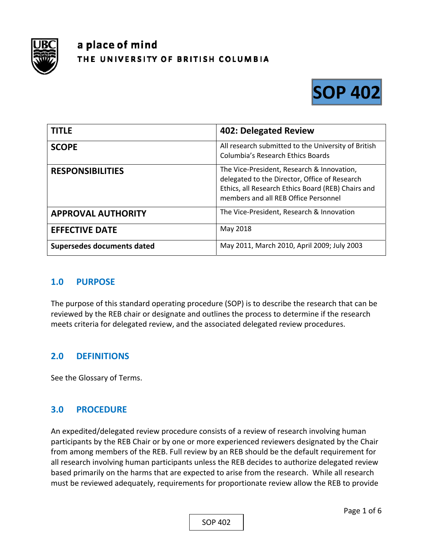

# a place of mind THE UNIVERSITY OF BRITISH COLUMBIA



| <b>TITLE</b>               | 402: Delegated Review                                                                                                                                                                     |
|----------------------------|-------------------------------------------------------------------------------------------------------------------------------------------------------------------------------------------|
| <b>SCOPE</b>               | All research submitted to the University of British<br><b>Columbia's Research Ethics Boards</b>                                                                                           |
| <b>RESPONSIBILITIES</b>    | The Vice-President, Research & Innovation,<br>delegated to the Director, Office of Research<br>Ethics, all Research Ethics Board (REB) Chairs and<br>members and all REB Office Personnel |
| <b>APPROVAL AUTHORITY</b>  | The Vice-President, Research & Innovation                                                                                                                                                 |
| <b>EFFECTIVE DATE</b>      | May 2018                                                                                                                                                                                  |
| Supersedes documents dated | May 2011, March 2010, April 2009; July 2003                                                                                                                                               |

# **1.0 PURPOSE**

The purpose of this standard operating procedure (SOP) is to describe the research that can be reviewed by the REB chair or designate and outlines the process to determine if the research meets criteria for delegated review, and the associated delegated review procedures.

# **2.0 DEFINITIONS**

See the Glossary of Terms.

# **3.0 PROCEDURE**

An expedited/delegated review procedure consists of a review of research involving human participants by the REB Chair or by one or more experienced reviewers designated by the Chair from among members of the REB. Full review by an REB should be the default requirement for all research involving human participants unless the REB decides to authorize delegated review based primarily on the harms that are expected to arise from the research. While all research must be reviewed adequately, requirements for proportionate review allow the REB to provide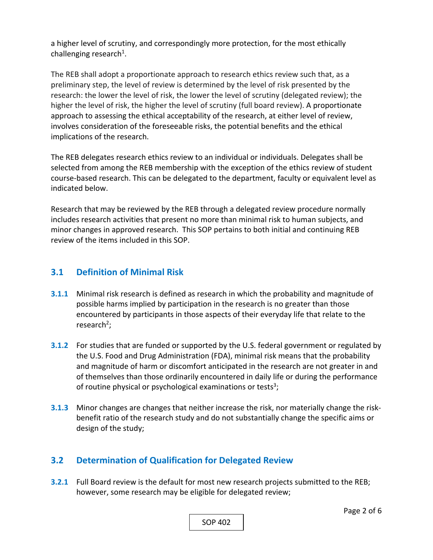a higher level of scrutiny, and correspondingly more protection, for the most ethically challenging research<sup>1</sup>.

The REB shall adopt a proportionate approach to research ethics review such that, as a preliminary step, the level of review is determined by the level of risk presented by the research: the lower the level of risk, the lower the level of scrutiny (delegated review); the higher the level of risk, the higher the level of scrutiny (full board review). A proportionate approach to assessing the ethical acceptability of the research, at either level of review, involves consideration of the foreseeable risks, the potential benefits and the ethical implications of the research.

The REB delegates research ethics review to an individual or individuals. Delegates shall be selected from among the REB membership with the exception of the ethics review of student course‐based research. This can be delegated to the department, faculty or equivalent level as indicated below.

Research that may be reviewed by the REB through a delegated review procedure normally includes research activities that present no more than minimal risk to human subjects, and minor changes in approved research. This SOP pertains to both initial and continuing REB review of the items included in this SOP.

# **3.1 Definition of Minimal Risk**

- **3.1.1** Minimal risk research is defined as research in which the probability and magnitude of possible harms implied by participation in the research is no greater than those encountered by participants in those aspects of their everyday life that relate to the research<sup>2</sup>;
- **3.1.2** For studies that are funded or supported by the U.S. federal government or regulated by the U.S. Food and Drug Administration (FDA), minimal risk means that the probability and magnitude of harm or discomfort anticipated in the research are not greater in and of themselves than those ordinarily encountered in daily life or during the performance of routine physical or psychological examinations or tests<sup>3</sup>;
- **3.1.3** Minor changes are changes that neither increase the risk, nor materially change the riskbenefit ratio of the research study and do not substantially change the specific aims or design of the study;

# **3.2 Determination of Qualification for Delegated Review**

**3.2.1** Full Board review is the default for most new research projects submitted to the REB; however, some research may be eligible for delegated review;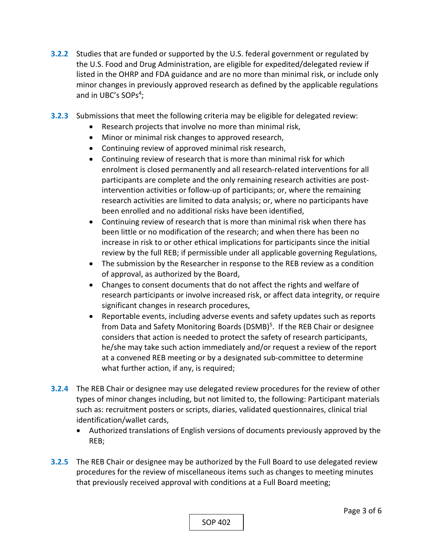- **3.2.2** Studies that are funded or supported by the U.S. federal government or regulated by the U.S. Food and Drug Administration, are eligible for expedited/delegated review if listed in the OHRP and FDA guidance and are no more than minimal risk, or include only minor changes in previously approved research as defined by the applicable regulations and in UBC's SOPs<sup>4</sup>;
- **3.2.3**  Submissions that meet the following criteria may be eligible for delegated review:
	- Research projects that involve no more than minimal risk,
		- Minor or minimal risk changes to approved research,
		- Continuing review of approved minimal risk research,
		- Continuing review of research that is more than minimal risk for which enrolment is closed permanently and all research-related interventions for all participants are complete and the only remaining research activities are postintervention activities or follow‐up of participants; or, where the remaining research activities are limited to data analysis; or, where no participants have been enrolled and no additional risks have been identified,
		- Continuing review of research that is more than minimal risk when there has been little or no modification of the research; and when there has been no increase in risk to or other ethical implications for participants since the initial review by the full REB; if permissible under all applicable governing Regulations,
	- The submission by the Researcher in response to the REB review as a condition of approval, as authorized by the Board,
	- Changes to consent documents that do not affect the rights and welfare of research participants or involve increased risk, or affect data integrity, or require significant changes in research procedures,
	- Reportable events, including adverse events and safety updates such as reports from Data and Safety Monitoring Boards (DSMB)<sup>5</sup>. If the REB Chair or designee considers that action is needed to protect the safety of research participants, he/she may take such action immediately and/or request a review of the report at a convened REB meeting or by a designated sub‐committee to determine what further action, if any, is required;
- **3.2.4**  The REB Chair or designee may use delegated review procedures for the review of other types of minor changes including, but not limited to, the following: Participant materials such as: recruitment posters or scripts, diaries, validated questionnaires, clinical trial identification/wallet cards,
	- Authorized translations of English versions of documents previously approved by the REB;
- **3.2.5**  The REB Chair or designee may be authorized by the Full Board to use delegated review procedures for the review of miscellaneous items such as changes to meeting minutes that previously received approval with conditions at a Full Board meeting;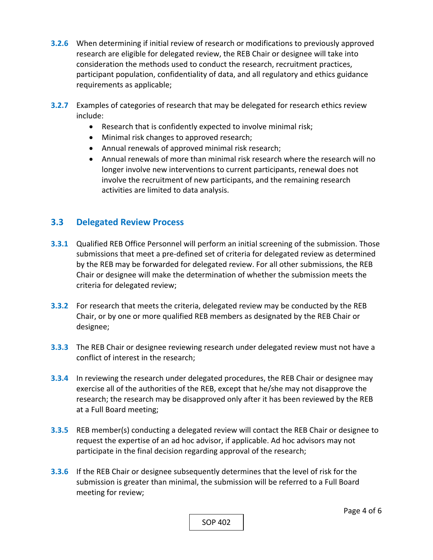- **3.2.6**  When determining if initial review of research or modifications to previously approved research are eligible for delegated review, the REB Chair or designee will take into consideration the methods used to conduct the research, recruitment practices, participant population, confidentiality of data, and all regulatory and ethics guidance requirements as applicable;
- **3.2.7**  Examples of categories of research that may be delegated for research ethics review include:
	- Research that is confidently expected to involve minimal risk;
	- Minimal risk changes to approved research;
	- Annual renewals of approved minimal risk research;
	- Annual renewals of more than minimal risk research where the research will no longer involve new interventions to current participants, renewal does not involve the recruitment of new participants, and the remaining research activities are limited to data analysis.

# **3.3 Delegated Review Process**

- **3.3.1** Qualified REB Office Personnel will perform an initial screening of the submission. Those submissions that meet a pre‐defined set of criteria for delegated review as determined by the REB may be forwarded for delegated review. For all other submissions, the REB Chair or designee will make the determination of whether the submission meets the criteria for delegated review;
- **3.3.2** For research that meets the criteria, delegated review may be conducted by the REB Chair, or by one or more qualified REB members as designated by the REB Chair or designee;
- **3.3.3**  The REB Chair or designee reviewing research under delegated review must not have a conflict of interest in the research;
- **3.3.4**  In reviewing the research under delegated procedures, the REB Chair or designee may exercise all of the authorities of the REB, except that he/she may not disapprove the research; the research may be disapproved only after it has been reviewed by the REB at a Full Board meeting;
- **3.3.5**  REB member(s) conducting a delegated review will contact the REB Chair or designee to request the expertise of an ad hoc advisor, if applicable. Ad hoc advisors may not participate in the final decision regarding approval of the research;
- **3.3.6**  If the REB Chair or designee subsequently determines that the level of risk for the submission is greater than minimal, the submission will be referred to a Full Board meeting for review;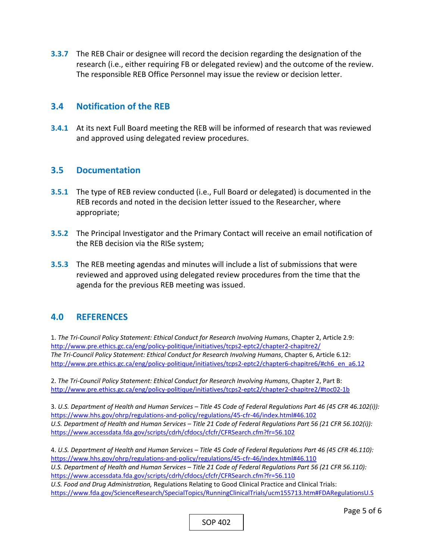**3.3.7**  The REB Chair or designee will record the decision regarding the designation of the research (i.e., either requiring FB or delegated review) and the outcome of the review. The responsible REB Office Personnel may issue the review or decision letter.

#### **3.4 Notification of the REB**

**3.4.1** At its next Full Board meeting the REB will be informed of research that was reviewed and approved using delegated review procedures.

#### **3.5 Documentation**

- **3.5.1** The type of REB review conducted (i.e., Full Board or delegated) is documented in the REB records and noted in the decision letter issued to the Researcher, where appropriate;
- **3.5.2** The Principal Investigator and the Primary Contact will receive an email notification of the REB decision via the RISe system;
- **3.5.3**  The REB meeting agendas and minutes will include a list of submissions that were reviewed and approved using delegated review procedures from the time that the agenda for the previous REB meeting was issued.

# **4.0 REFERENCES**

1. *The Tri‐Council Policy Statement: Ethical Conduct for Research Involving Humans*, Chapter 2, Article 2.9: http://www.pre.ethics.gc.ca/eng/policy‐politique/initiatives/tcps2‐eptc2/chapter2‐chapitre2/ *The Tri‐Council Policy Statement: Ethical Conduct for Research Involving Humans*, Chapter 6, Article 6.12: http://www.pre.ethics.gc.ca/eng/policy-politique/initiatives/tcps2-eptc2/chapter6-chapitre6/#ch6\_en\_a6.12

2. *The Tri‐Council Policy Statement: Ethical Conduct for Research Involving Humans*, Chapter 2, Part B: http://www.pre.ethics.gc.ca/eng/policy‐politique/initiatives/tcps2‐eptc2/chapter2‐chapitre2/#toc02‐1b

3. *U.S. Department of Health and Human Services – Title 45 Code of Federal Regulations Part 46 (45 CFR 46.102(i)):*  https://www.hhs.gov/ohrp/regulations-and-policy/regulations/45-cfr-46/index.html#46.102 *U.S. Department of Health and Human Services – Title 21 Code of Federal Regulations Part 56 (21 CFR 56.102(i)):*  https://www.accessdata.fda.gov/scripts/cdrh/cfdocs/cfcfr/CFRSearch.cfm?fr=56.102

4. *U.S. Department of Health and Human Services – Title 45 Code of Federal Regulations Part 46 (45 CFR 46.110):*  https://www.hhs.gov/ohrp/regulations-and-policy/regulations/45-cfr-46/index.html#46.110 *U.S. Department of Health and Human Services – Title 21 Code of Federal Regulations Part 56 (21 CFR 56.110):*  https://www.accessdata.fda.gov/scripts/cdrh/cfdocs/cfcfr/CFRSearch.cfm?fr=56.110 *U.S. Food and Drug Administration,* Regulations Relating to Good Clinical Practice and Clinical Trials: https://www.fda.gov/ScienceResearch/SpecialTopics/RunningClinicalTrials/ucm155713.htm#FDARegulationsU.S

SOP 402